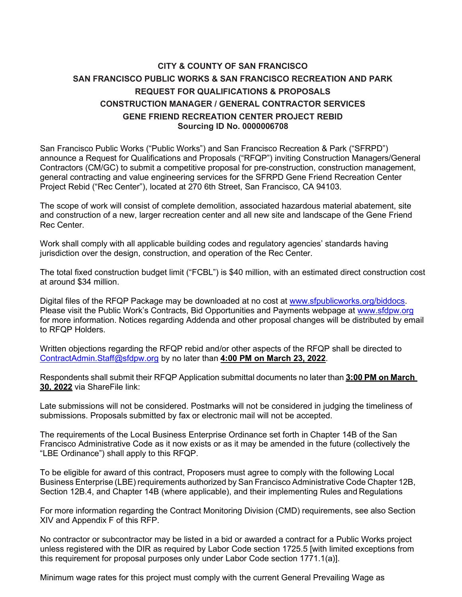## **CITY & COUNTY OF SAN FRANCISCO SAN FRANCISCO PUBLIC WORKS & SAN FRANCISCO RECREATION AND PARK REQUEST FOR QUALIFICATIONS & PROPOSALS CONSTRUCTION MANAGER / GENERAL CONTRACTOR SERVICES GENE FRIEND RECREATION CENTER PROJECT REBID Sourcing ID No. 0000006708**

San Francisco Public Works ("Public Works") and San Francisco Recreation & Park ("SFRPD") announce a Request for Qualifications and Proposals ("RFQP") inviting Construction Managers/General Contractors (CM/GC) to submit a competitive proposal for pre-construction, construction management, general contracting and value engineering services for the SFRPD Gene Friend Recreation Center Project Rebid ("Rec Center"), located at 270 6th Street, San Francisco, CA 94103.

The scope of work will consist of complete demolition, associated hazardous material abatement, site and construction of a new, larger recreation center and all new site and landscape of the Gene Friend Rec Center.

Work shall comply with all applicable building codes and regulatory agencies' standards having jurisdiction over the design, construction, and operation of the Rec Center.

The total fixed construction budget limit ("FCBL") is \$40 million, with an estimated direct construction cost at around \$34 million.

Digital files of the RFQP Package may be downloaded at no cost at [www.sfpublicworks.org/biddocs.](http://www.sfpublicworks.org/biddocs) Please visit the Public Work's Contracts, Bid Opportunities and Payments webpage at [www.sfdpw.org](http://www.sfdpw.org/) for more information. Notices regarding Addenda and other proposal changes will be distributed by email to RFQP Holders.

Written objections regarding the RFQP rebid and/or other aspects of the RFQP shall be directed to [ContractAdmin.Staff@sfdpw.org](mailto:ContractAdmin.Staff@sfdpw.org) by no later than **4:00 PM on March 23, 2022**.

Respondents shall submit their RFQP Application submittal documents no later than **3:00 PM on March 30, 2022** via ShareFile link:

Late submissions will not be considered. Postmarks will not be considered in judging the timeliness of submissions. Proposals submitted by fax or electronic mail will not be accepted.

The requirements of the Local Business Enterprise Ordinance set forth in Chapter 14B of the San Francisco Administrative Code as it now exists or as it may be amended in the future (collectively the "LBE Ordinance") shall apply to this RFQP.

To be eligible for award of this contract, Proposers must agree to comply with the following Local Business Enterprise (LBE) requirements authorized by San Francisco Administrative Code Chapter 12B, Section 12B.4, and Chapter 14B (where applicable), and their implementing Rules and Regulations

For more information regarding the Contract Monitoring Division (CMD) requirements, see also Section XIV and Appendix F of this RFP.

No contractor or subcontractor may be listed in a bid or awarded a contract for a Public Works project unless registered with the DIR as required by Labor Code section 1725.5 [with limited exceptions from this requirement for proposal purposes only under Labor Code section 1771.1(a)].

Minimum wage rates for this project must comply with the current General Prevailing Wage as